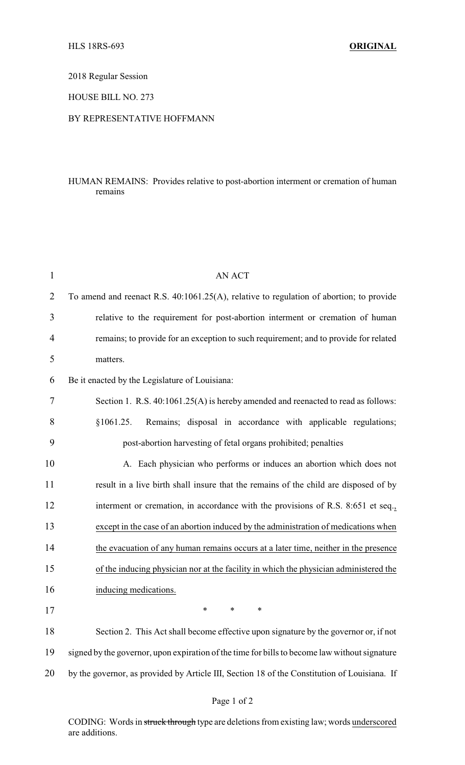2018 Regular Session

HOUSE BILL NO. 273

## BY REPRESENTATIVE HOFFMANN

## HUMAN REMAINS: Provides relative to post-abortion interment or cremation of human remains

| $\mathbf{1}$   | <b>AN ACT</b>                                                                                 |
|----------------|-----------------------------------------------------------------------------------------------|
| $\overline{2}$ | To amend and reenact R.S. 40:1061.25(A), relative to regulation of abortion; to provide       |
| 3              | relative to the requirement for post-abortion interment or cremation of human                 |
| 4              | remains; to provide for an exception to such requirement; and to provide for related          |
| 5              | matters.                                                                                      |
| 6              | Be it enacted by the Legislature of Louisiana:                                                |
| 7              | Section 1. R.S. 40:1061.25(A) is hereby amended and reenacted to read as follows:             |
| 8              | Remains; disposal in accordance with applicable regulations;<br>§1061.25.                     |
| 9              | post-abortion harvesting of fetal organs prohibited; penalties                                |
| 10             | A. Each physician who performs or induces an abortion which does not                          |
| 11             | result in a live birth shall insure that the remains of the child are disposed of by          |
| 12             | interment or cremation, in accordance with the provisions of R.S. 8:651 et seq.,              |
| 13             | except in the case of an abortion induced by the administration of medications when           |
| 14             | the evacuation of any human remains occurs at a later time, neither in the presence           |
| 15             | of the inducing physician nor at the facility in which the physician administered the         |
| 16             | inducing medications.                                                                         |
| 17             | ∗<br>∗<br>∗                                                                                   |
| 18             | Section 2. This Act shall become effective upon signature by the governor or, if not          |
| 19             | signed by the governor, upon expiration of the time for bills to become law without signature |
| 20             | by the governor, as provided by Article III, Section 18 of the Constitution of Louisiana. If  |
|                |                                                                                               |

CODING: Words in struck through type are deletions from existing law; words underscored are additions.